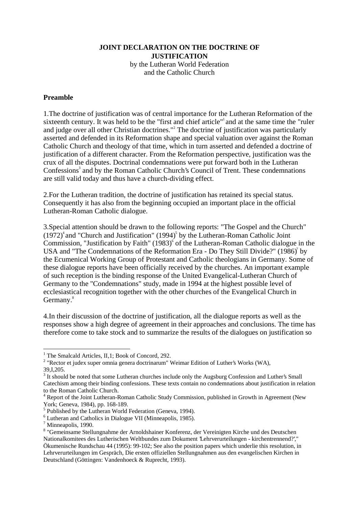## **JOINT DECLARATION ON THE DOCTRINE OF JUSTIFICATION** by the Lutheran World Federation and the Catholic Church

#### **Preamble**

1.The doctrine of justification was of central importance for the Lutheran Reformation of the sixteenth century. It was held to be the "first and chief article" and at the same time the "ruler and judge over all other Christian doctrines."<sup>2</sup> The doctrine of justification was particularly asserted and defended in its Reformation shape and special valuation over against the Roman Catholic Church and theology of that time, which in turn asserted and defended a doctrine of justification of a different character. From the Reformation perspective, justification was the crux of all the disputes. Doctrinal condemnations were put forward both in the Lutheran Confessions<sup>3</sup> and by the Roman Catholic Church's Council of Trent. These condemnations are still valid today and thus have a church-dividing effect.

2.For the Lutheran tradition, the doctrine of justification has retained its special status. Consequently it has also from the beginning occupied an important place in the official Lutheran-Roman Catholic dialogue.

3.Special attention should be drawn to the following reports: "The Gospel and the Church"  $(1972)^4$  and "Church and Justification"  $(1994)^5$  by the Lutheran-Roman Catholic Joint Commission, "Justification by Faith" (1983)<sup>6</sup> of the Lutheran-Roman Catholic dialogue in the USA and "The Condemnations of the Reformation Era - Do They Still Divide?"  $(1986)^7$  by the Ecumenical Working Group of Protestant and Catholic theologians in Germany. Some of these dialogue reports have been officially received by the churches. An important example of such reception is the binding response of the United Evangelical-Lutheran Church of Germany to the "Condemnations" study, made in 1994 at the highest possible level of ecclesiastical recognition together with the other churches of the Evangelical Church in Germany.<sup>8</sup>

4.In their discussion of the doctrine of justification, all the dialogue reports as well as the responses show a high degree of agreement in their approaches and conclusions. The time has therefore come to take stock and to summarize the results of the dialogues on justification so

 $\overline{a}$ 

<sup>1</sup> The Smalcald Articles, II,1; Book of Concord, 292.

<sup>&</sup>lt;sup>2</sup> "Rector et judex super omnia genera doctrinarum" Weimar Edition of Luther's Works (WA), 39,I,205.

<sup>&</sup>lt;sup>3</sup> It should be noted that some Lutheran churches include only the Augsburg Confession and Luther's Small Catechism among their binding confessions. These texts contain no condemnations about justification in relation to the Roman Catholic Church.

<sup>&</sup>lt;sup>4</sup> Report of the Joint Lutheran-Roman Catholic Study Commission, published in Growth in Agreement (New York; Geneva, 1984), pp. 168-189.

<sup>&</sup>lt;sup>5</sup> Published by the Lutheran World Federation (Geneva, 1994).

<sup>6</sup> Lutheran and Catholics in Dialogue VII (Minneapolis, 1985).

<sup>&</sup>lt;sup>7</sup> Minneapolis, 1990.

<sup>&</sup>lt;sup>8</sup> "Gemeinsame Stellungnahme der Arnoldshainer Konferenz, der Vereinigten Kirche und des Deutschen Nationalkomitees des Lutherischen Weltbundes zum Dokument 'Lehrverurteilungen - kirchentrennend?'," Ökumenische Rundschau 44 (1995): 99-102; See also the position papers which underlie this resolution, in Lehrverurteilungen im Gespräch, Die ersten offiziellen Stellungnahmen aus den evangelischen Kirchen in Deutschland (Göttingen: Vandenhoeck & Ruprecht, 1993).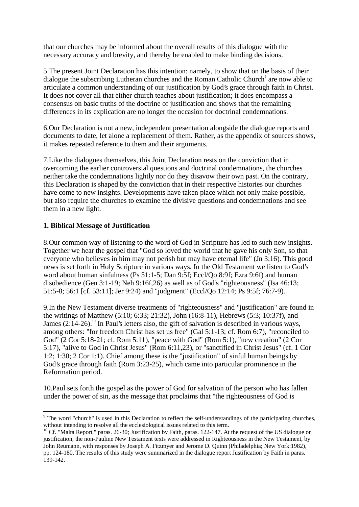that our churches may be informed about the overall results of this dialogue with the necessary accuracy and brevity, and thereby be enabled to make binding decisions.

5.The present Joint Declaration has this intention: namely, to show that on the basis of their dialogue the subscribing Lutheran churches and the Roman Catholic Church<sup>9</sup> are now able to articulate a common understanding of our justification by God's grace through faith in Christ. It does not cover all that either church teaches about justification; it does encompass a consensus on basic truths of the doctrine of justification and shows that the remaining differences in its explication are no longer the occasion for doctrinal condemnations.

6.Our Declaration is not a new, independent presentation alongside the dialogue reports and documents to date, let alone a replacement of them. Rather, as the appendix of sources shows, it makes repeated reference to them and their arguments.

7.Like the dialogues themselves, this Joint Declaration rests on the conviction that in overcoming the earlier controversial questions and doctrinal condemnations, the churches neither take the condemnations lightly nor do they disavow their own past. On the contrary, this Declaration is shaped by the conviction that in their respective histories our churches have come to new insights. Developments have taken place which not only make possible, but also require the churches to examine the divisive questions and condemnations and see them in a new light.

### **1. Biblical Message of Justification**

8.Our common way of listening to the word of God in Scripture has led to such new insights. Together we hear the gospel that "God so loved the world that he gave his only Son, so that everyone who believes in him may not perish but may have eternal life" (Jn 3:16). This good news is set forth in Holy Scripture in various ways. In the Old Testament we listen to God's word about human sinfulness (Ps 51:1-5; Dan 9:5f; Eccl/Qo 8:9f; Ezra 9:6f) and human disobedience (Gen 3:1-19; Neh 9:16f,26) as well as of God's "righteousness" (Isa 46:13; 51:5-8; 56:1 [cf. 53:11]; Jer 9:24) and "judgment" (Eccl/Qo 12:14; Ps 9:5f; 76:7-9).

9.In the New Testament diverse treatments of "righteousness" and "justification" are found in the writings of Matthew (5:10; 6:33; 21:32), John (16:8-11), Hebrews (5:3; 10:37f), and James  $(2:14-26)$ .<sup>10</sup> In Paul's letters also, the gift of salvation is described in various ways, among others: "for freedom Christ has set us free" (Gal 5:1-13; cf. Rom 6:7), "reconciled to God" (2 Cor 5:18-21; cf. Rom 5:11), "peace with God" (Rom 5:1), "new creation" (2 Cor 5:17), "alive to God in Christ Jesus" (Rom 6:11,23), or "sanctified in Christ Jesus" (cf. 1 Cor 1:2; 1:30; 2 Cor 1:1). Chief among these is the "justification" of sinful human beings by God's grace through faith (Rom 3:23-25), which came into particular prominence in the Reformation period.

10.Paul sets forth the gospel as the power of God for salvation of the person who has fallen under the power of sin, as the message that proclaims that "the righteousness of God is

 $\overline{a}$ <sup>9</sup> The word "church" is used in this Declaration to reflect the self-understandings of the participating churches, without intending to resolve all the ecclesiological issues related to this term.

<sup>&</sup>lt;sup>10</sup> Cf. "Malta Report," paras. 26-30; Justification by Faith, paras. 122-147. At the request of the US dialogue on justification, the non-Pauline New Testament texts were addressed in Righteousness in the New Testament, by John Reumann, with responses by Joseph A. Fitzmyer and Jerome D. Quinn (Philadelphia; New York:1982), pp. 124-180. The results of this study were summarized in the dialogue report Justification by Faith in paras. 139-142.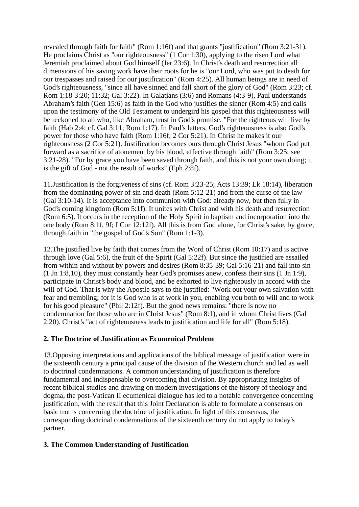revealed through faith for faith" (Rom 1:16f) and that grants "justification" (Rom 3:21-31). He proclaims Christ as "our righteousness" (1 Cor 1:30), applying to the risen Lord what Jeremiah proclaimed about God himself (Jer 23:6). In Christ's death and resurrection all dimensions of his saving work have their roots for he is "our Lord, who was put to death for our trespasses and raised for our justification" (Rom 4:25). All human beings are in need of God's righteousness, "since all have sinned and fall short of the glory of God" (Rom 3:23; cf. Rom 1:18-3:20; 11:32; Gal 3:22). In Galatians (3:6) and Romans (4:3-9), Paul understands Abraham's faith (Gen 15:6) as faith in the God who justifies the sinner (Rom 4:5) and calls upon the testimony of the Old Testament to undergird his gospel that this righteousness will be reckoned to all who, like Abraham, trust in God's promise. "For the righteous will live by faith (Hab 2:4; cf. Gal 3:11; Rom 1:17). In Paul's letters, God's righteousness is also God's power for those who have faith (Rom 1:16f; 2 Cor 5:21). In Christ he makes it our righteousness (2 Cor 5:21). Justification becomes ours through Christ Jesus "whom God put forward as a sacrifice of atonement by his blood, effective through faith" (Rom 3:25; see 3:21-28). "For by grace you have been saved through faith, and this is not your own doing; it is the gift of God - not the result of works" (Eph 2:8f).

11.Justification is the forgiveness of sins (cf. Rom 3:23-25; Acts 13:39; Lk 18:14), liberation from the dominating power of sin and death (Rom 5:12-21) and from the curse of the law (Gal 3:10-14). It is acceptance into communion with God: already now, but then fully in God's coming kingdom (Rom 5:1f). It unites with Christ and with his death and resurrection (Rom 6:5). It occurs in the reception of the Holy Spirit in baptism and incorporation into the one body (Rom 8:1f, 9f; I Cor 12:12f). All this is from God alone, for Christ's sake, by grace, through faith in "the gospel of God's Son" (Rom 1:1-3).

12.The justified live by faith that comes from the Word of Christ (Rom 10:17) and is active through love (Gal 5:6), the fruit of the Spirit (Gal 5:22f). But since the justified are assailed from within and without by powers and desires (Rom 8:35-39; Gal 5:16-21) and fall into sin (1 Jn 1:8,10), they must constantly hear God's promises anew, confess their sins (1 Jn 1:9), participate in Christ's body and blood, and be exhorted to live righteously in accord with the will of God. That is why the Apostle says to the justified: "Work out your own salvation with fear and trembling; for it is God who is at work in you, enabling you both to will and to work for his good pleasure" (Phil 2:12f). But the good news remains: "there is now no condemnation for those who are in Christ Jesus" (Rom 8:1), and in whom Christ lives (Gal 2:20). Christ's "act of righteousness leads to justification and life for all" (Rom 5:18).

### **2. The Doctrine of Justification as Ecumenical Problem**

13.Opposing interpretations and applications of the biblical message of justification were in the sixteenth century a principal cause of the division of the Western church and led as well to doctrinal condemnations. A common understanding of justification is therefore fundamental and indispensable to overcoming that division. By appropriating insights of recent biblical studies and drawing on modern investigations of the history of theology and dogma, the post-Vatican II ecumenical dialogue has led to a notable convergence concerning justification, with the result that this Joint Declaration is able to formulate a consensus on basic truths concerning the doctrine of justification. In light of this consensus, the corresponding doctrinal condemnations of the sixteenth century do not apply to today's partner.

#### **3. The Common Understanding of Justification**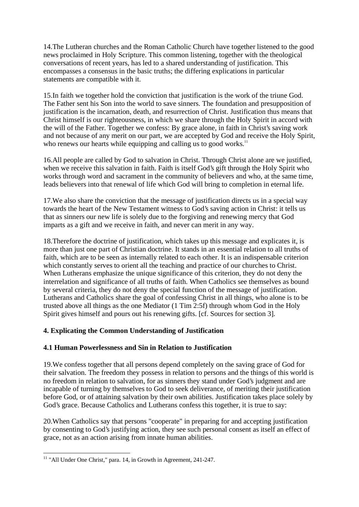14.The Lutheran churches and the Roman Catholic Church have together listened to the good news proclaimed in Holy Scripture. This common listening, together with the theological conversations of recent years, has led to a shared understanding of justification. This encompasses a consensus in the basic truths; the differing explications in particular statements are compatible with it.

15.In faith we together hold the conviction that justification is the work of the triune God. The Father sent his Son into the world to save sinners. The foundation and presupposition of justification is the incarnation, death, and resurrection of Christ. Justification thus means that Christ himself is our righteousness, in which we share through the Holy Spirit in accord with the will of the Father. Together we confess: By grace alone, in faith in Christ's saving work and not because of any merit on our part, we are accepted by God and receive the Holy Spirit, who renews our hearts while equipping and calling us to good works. $11$ 

16.All people are called by God to salvation in Christ. Through Christ alone are we justified, when we receive this salvation in faith. Faith is itself God's gift through the Holy Spirit who works through word and sacrament in the community of believers and who, at the same time, leads believers into that renewal of life which God will bring to completion in eternal life.

17.We also share the conviction that the message of justification directs us in a special way towards the heart of the New Testament witness to God's saving action in Christ: it tells us that as sinners our new life is solely due to the forgiving and renewing mercy that God imparts as a gift and we receive in faith, and never can merit in any way.

18.Therefore the doctrine of justification, which takes up this message and explicates it, is more than just one part of Christian doctrine. It stands in an essential relation to all truths of faith, which are to be seen as internally related to each other. It is an indispensable criterion which constantly serves to orient all the teaching and practice of our churches to Christ. When Lutherans emphasize the unique significance of this criterion, they do not deny the interrelation and significance of all truths of faith. When Catholics see themselves as bound by several criteria, they do not deny the special function of the message of justification. Lutherans and Catholics share the goal of confessing Christ in all things, who alone is to be trusted above all things as the one Mediator (1 Tim 2:5f) through whom God in the Holy Spirit gives himself and pours out his renewing gifts. [cf. Sources for section 3].

### **4. Explicating the Common Understanding of Justification**

### **4.1 Human Powerlessness and Sin in Relation to Justification**

19.We confess together that all persons depend completely on the saving grace of God for their salvation. The freedom they possess in relation to persons and the things of this world is no freedom in relation to salvation, for as sinners they stand under God's judgment and are incapable of turning by themselves to God to seek deliverance, of meriting their justification before God, or of attaining salvation by their own abilities. Justification takes place solely by God's grace. Because Catholics and Lutherans confess this together, it is true to say:

20.When Catholics say that persons "cooperate" in preparing for and accepting justification by consenting to God's justifying action, they see such personal consent as itself an effect of grace, not as an action arising from innate human abilities.

 $\overline{a}$ <sup>11</sup> "All Under One Christ," para. 14, in Growth in Agreement, 241-247.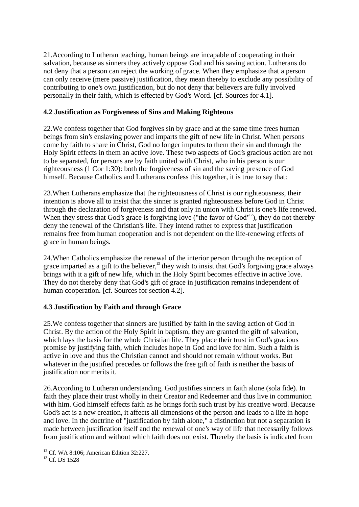21.According to Lutheran teaching, human beings are incapable of cooperating in their salvation, because as sinners they actively oppose God and his saving action. Lutherans do not deny that a person can reject the working of grace. When they emphasize that a person can only receive (mere passive) justification, they mean thereby to exclude any possibility of contributing to one's own justification, but do not deny that believers are fully involved personally in their faith, which is effected by God's Word. [cf. Sources for 4.1].

### **4.2 Justification as Forgiveness of Sins and Making Righteous**

22.We confess together that God forgives sin by grace and at the same time frees human beings from sin's enslaving power and imparts the gift of new life in Christ. When persons come by faith to share in Christ, God no longer imputes to them their sin and through the Holy Spirit effects in them an active love. These two aspects of God's gracious action are not to be separated, for persons are by faith united with Christ, who in his person is our righteousness (1 Cor 1:30): both the forgiveness of sin and the saving presence of God himself. Because Catholics and Lutherans confess this together, it is true to say that:

23.When Lutherans emphasize that the righteousness of Christ is our righteousness, their intention is above all to insist that the sinner is granted righteousness before God in Christ through the declaration of forgiveness and that only in union with Christ is one's life renewed. When they stress that God's grace is forgiving love ("the favor of  $God^{\prime\prime 2}$ ), they do not thereby deny the renewal of the Christian's life. They intend rather to express that justification remains free from human cooperation and is not dependent on the life-renewing effects of grace in human beings.

24.When Catholics emphasize the renewal of the interior person through the reception of grace imparted as a gift to the believer, $13$  they wish to insist that God's forgiving grace always brings with it a gift of new life, which in the Holy Spirit becomes effective in active love. They do not thereby deny that God's gift of grace in justification remains independent of human cooperation. [cf. Sources for section 4.2].

# **4.3 Justification by Faith and through Grace**

25.We confess together that sinners are justified by faith in the saving action of God in Christ. By the action of the Holy Spirit in baptism, they are granted the gift of salvation, which lays the basis for the whole Christian life. They place their trust in God's gracious promise by justifying faith, which includes hope in God and love for him. Such a faith is active in love and thus the Christian cannot and should not remain without works. But whatever in the justified precedes or follows the free gift of faith is neither the basis of justification nor merits it.

26.According to Lutheran understanding, God justifies sinners in faith alone (sola fide). In faith they place their trust wholly in their Creator and Redeemer and thus live in communion with him. God himself effects faith as he brings forth such trust by his creative word. Because God's act is a new creation, it affects all dimensions of the person and leads to a life in hope and love. In the doctrine of "justification by faith alone," a distinction but not a separation is made between justification itself and the renewal of one's way of life that necessarily follows from justification and without which faith does not exist. Thereby the basis is indicated from

<sup>1</sup>  $12$  Cf. WA 8:106; American Edition 32:227.

<sup>&</sup>lt;sup>13</sup> Cf. DS 1528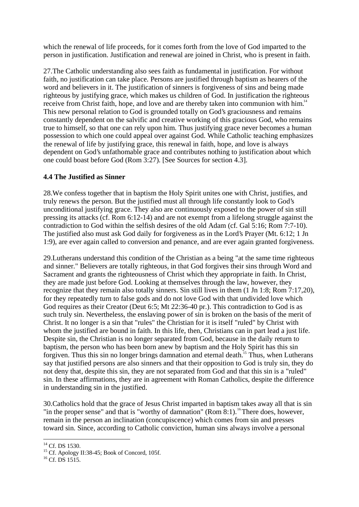which the renewal of life proceeds, for it comes forth from the love of God imparted to the person in justification. Justification and renewal are joined in Christ, who is present in faith.

27.The Catholic understanding also sees faith as fundamental in justification. For without faith, no justification can take place. Persons are justified through baptism as hearers of the word and believers in it. The justification of sinners is forgiveness of sins and being made righteous by justifying grace, which makes us children of God. In justification the righteous receive from Christ faith, hope, and love and are thereby taken into communion with him.<sup>14</sup> This new personal relation to God is grounded totally on God's graciousness and remains constantly dependent on the salvific and creative working of this gracious God, who remains true to himself, so that one can rely upon him. Thus justifying grace never becomes a human possession to which one could appeal over against God. While Catholic teaching emphasizes the renewal of life by justifying grace, this renewal in faith, hope, and love is always dependent on God's unfathomable grace and contributes nothing to justification about which one could boast before God (Rom 3:27). [See Sources for section 4.3].

### **4.4 The Justified as Sinner**

28.We confess together that in baptism the Holy Spirit unites one with Christ, justifies, and truly renews the person. But the justified must all through life constantly look to God's unconditional justifying grace. They also are continuously exposed to the power of sin still pressing its attacks (cf. Rom 6:12-14) and are not exempt from a lifelong struggle against the contradiction to God within the selfish desires of the old Adam (cf. Gal 5:16; Rom 7:7-10). The justified also must ask God daily for forgiveness as in the Lord's Prayer (Mt. 6:12; 1 Jn 1:9), are ever again called to conversion and penance, and are ever again granted forgiveness.

29.Lutherans understand this condition of the Christian as a being "at the same time righteous and sinner." Believers are totally righteous, in that God forgives their sins through Word and Sacrament and grants the righteousness of Christ which they appropriate in faith. In Christ, they are made just before God. Looking at themselves through the law, however, they recognize that they remain also totally sinners. Sin still lives in them (1 Jn 1:8; Rom 7:17,20), for they repeatedly turn to false gods and do not love God with that undivided love which God requires as their Creator (Deut 6:5; Mt 22:36-40 pr.). This contradiction to God is as such truly sin. Nevertheless, the enslaving power of sin is broken on the basis of the merit of Christ. It no longer is a sin that "rules" the Christian for it is itself "ruled" by Christ with whom the justified are bound in faith. In this life, then, Christians can in part lead a just life. Despite sin, the Christian is no longer separated from God, because in the daily return to baptism, the person who has been born anew by baptism and the Holy Spirit has this sin forgiven. Thus this sin no longer brings damnation and eternal death.<sup>15</sup> Thus, when Lutherans say that justified persons are also sinners and that their opposition to God is truly sin, they do not deny that, despite this sin, they are not separated from God and that this sin is a "ruled" sin. In these affirmations, they are in agreement with Roman Catholics, despite the difference in understanding sin in the justified.

30.Catholics hold that the grace of Jesus Christ imparted in baptism takes away all that is sin "in the proper sense" and that is "worthy of damnation" (Rom 8:1).<sup>16</sup> There does, however, remain in the person an inclination (concupiscence) which comes from sin and presses toward sin. Since, according to Catholic conviction, human sins always involve a personal

 $\overline{a}$  $14$  Cf. DS 1530.

<sup>&</sup>lt;sup>15</sup> Cf. Apology II:38-45; Book of Concord, 105f.

 $^{16}$  Cf. DS 1515.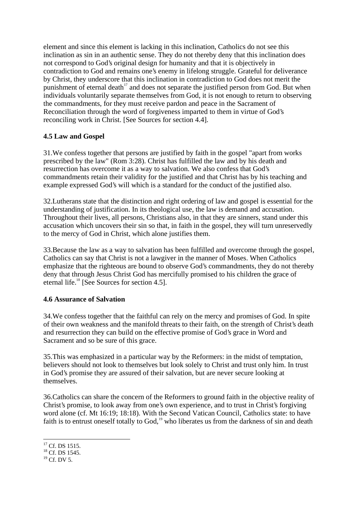element and since this element is lacking in this inclination, Catholics do not see this inclination as sin in an authentic sense. They do not thereby deny that this inclination does not correspond to God's original design for humanity and that it is objectively in contradiction to God and remains one's enemy in lifelong struggle. Grateful for deliverance by Christ, they underscore that this inclination in contradiction to God does not merit the punishment of eternal death<sup>17</sup> and does not separate the justified person from God. But when individuals voluntarily separate themselves from God, it is not enough to return to observing the commandments, for they must receive pardon and peace in the Sacrament of Reconciliation through the word of forgiveness imparted to them in virtue of God's reconciling work in Christ. [See Sources for section 4.4].

## **4.5 Law and Gospel**

31.We confess together that persons are justified by faith in the gospel "apart from works prescribed by the law" (Rom 3:28). Christ has fulfilled the law and by his death and resurrection has overcome it as a way to salvation. We also confess that God's commandments retain their validity for the justified and that Christ has by his teaching and example expressed God's will which is a standard for the conduct of the justified also.

32.Lutherans state that the distinction and right ordering of law and gospel is essential for the understanding of justification. In its theological use, the law is demand and accusation. Throughout their lives, all persons, Christians also, in that they are sinners, stand under this accusation which uncovers their sin so that, in faith in the gospel, they will turn unreservedly to the mercy of God in Christ, which alone justifies them.

33.Because the law as a way to salvation has been fulfilled and overcome through the gospel, Catholics can say that Christ is not a lawgiver in the manner of Moses. When Catholics emphasize that the righteous are bound to observe God's commandments, they do not thereby deny that through Jesus Christ God has mercifully promised to his children the grace of eternal life.18 [See Sources for section 4.5].

### **4.6 Assurance of Salvation**

34.We confess together that the faithful can rely on the mercy and promises of God. In spite of their own weakness and the manifold threats to their faith, on the strength of Christ's death and resurrection they can build on the effective promise of God's grace in Word and Sacrament and so be sure of this grace.

35.This was emphasized in a particular way by the Reformers: in the midst of temptation, believers should not look to themselves but look solely to Christ and trust only him. In trust in God's promise they are assured of their salvation, but are never secure looking at themselves.

36.Catholics can share the concern of the Reformers to ground faith in the objective reality of Christ's promise, to look away from one's own experience, and to trust in Christ's forgiving word alone (cf. Mt 16:19; 18:18). With the Second Vatican Council, Catholics state: to have faith is to entrust oneself totally to God,<sup>19</sup> who liberates us from the darkness of sin and death

 $\overline{a}$  $17$  Cf. DS 1515.

 $18$  Cf. DS 1545.

<sup>19</sup> Cf. DV 5.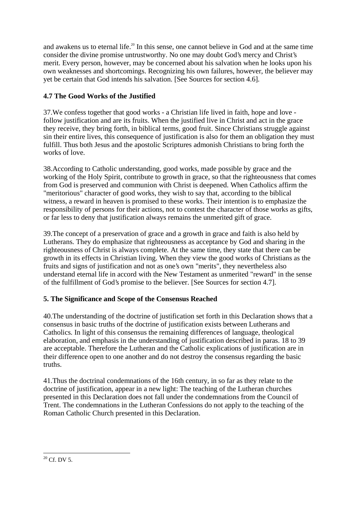and awakens us to eternal life.<sup>20</sup> In this sense, one cannot believe in God and at the same time consider the divine promise untrustworthy. No one may doubt God's mercy and Christ's merit. Every person, however, may be concerned about his salvation when he looks upon his own weaknesses and shortcomings. Recognizing his own failures, however, the believer may yet be certain that God intends his salvation. [See Sources for section 4.6].

# **4.7 The Good Works of the Justified**

37.We confess together that good works - a Christian life lived in faith, hope and love follow justification and are its fruits. When the justified live in Christ and act in the grace they receive, they bring forth, in biblical terms, good fruit. Since Christians struggle against sin their entire lives, this consequence of justification is also for them an obligation they must fulfill. Thus both Jesus and the apostolic Scriptures admonish Christians to bring forth the works of love.

38.According to Catholic understanding, good works, made possible by grace and the working of the Holy Spirit, contribute to growth in grace, so that the righteousness that comes from God is preserved and communion with Christ is deepened. When Catholics affirm the "meritorious" character of good works, they wish to say that, according to the biblical witness, a reward in heaven is promised to these works. Their intention is to emphasize the responsibility of persons for their actions, not to contest the character of those works as gifts, or far less to deny that justification always remains the unmerited gift of grace.

39.The concept of a preservation of grace and a growth in grace and faith is also held by Lutherans. They do emphasize that righteousness as acceptance by God and sharing in the righteousness of Christ is always complete. At the same time, they state that there can be growth in its effects in Christian living. When they view the good works of Christians as the fruits and signs of justification and not as one's own "merits", they nevertheless also understand eternal life in accord with the New Testament as unmerited "reward" in the sense of the fulfillment of God's promise to the believer. [See Sources for section 4.7].

# **5. The Significance and Scope of the Consensus Reached**

40.The understanding of the doctrine of justification set forth in this Declaration shows that a consensus in basic truths of the doctrine of justification exists between Lutherans and Catholics. In light of this consensus the remaining differences of language, theological elaboration, and emphasis in the understanding of justification described in paras. 18 to 39 are acceptable. Therefore the Lutheran and the Catholic explications of justification are in their difference open to one another and do not destroy the consensus regarding the basic truths.

41.Thus the doctrinal condemnations of the 16th century, in so far as they relate to the doctrine of justification, appear in a new light: The teaching of the Lutheran churches presented in this Declaration does not fall under the condemnations from the Council of Trent. The condemnations in the Lutheran Confessions do not apply to the teaching of the Roman Catholic Church presented in this Declaration.

 $\overline{a}$  $20$  Cf. DV 5.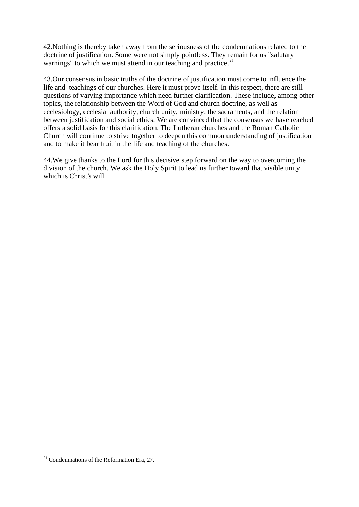42.Nothing is thereby taken away from the seriousness of the condemnations related to the doctrine of justification. Some were not simply pointless. They remain for us "salutary warnings" to which we must attend in our teaching and practice. $21$ 

43.Our consensus in basic truths of the doctrine of justification must come to influence the life and teachings of our churches. Here it must prove itself. In this respect, there are still questions of varying importance which need further clarification. These include, among other topics, the relationship between the Word of God and church doctrine, as well as ecclesiology, ecclesial authority, church unity, ministry, the sacraments, and the relation between justification and social ethics. We are convinced that the consensus we have reached offers a solid basis for this clarification. The Lutheran churches and the Roman Catholic Church will continue to strive together to deepen this common understanding of justification and to make it bear fruit in the life and teaching of the churches.

44.We give thanks to the Lord for this decisive step forward on the way to overcoming the division of the church. We ask the Holy Spirit to lead us further toward that visible unity which is Christ's will.

 $\overline{a}$  $21$  Condemnations of the Reformation Era, 27.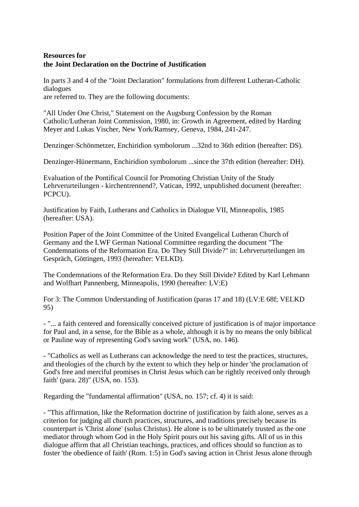# **Resources for the Joint Declaration on the Doctrine of Justification**

In parts 3 and 4 of the "Joint Declaration" formulations from different Lutheran-Catholic dialogues are referred to. They are the following documents:

"All Under One Christ," Statement on the Augsburg Confession by the Roman Catholic/Lutheran Joint Commission, 1980, in: Growth in Agreement, edited by Harding Meyer and Lukas Vischer, New York/Ramsey, Geneva, 1984, 241-247.

Denzinger-Schönmetzer, Enchiridion symbolorum ...32nd to 36th edition (hereafter: DS).

Denzinger-Hünermann, Enchiridion symbolorum ...since the 37th edition (hereafter: DH).

Evaluation of the Pontifical Council for Promoting Christian Unity of the Study Lehrverurteilungen - kirchentrennend?, Vatican, 1992, unpublished document (hereafter: PCPCU).

Justification by Faith, Lutherans and Catholics in Dialogue VII, Minneapolis, 1985 (hereafter: USA).

Position Paper of the Joint Committee of the United Evangelical Lutheran Church of Germany and the LWF German National Committee regarding the document "The Condemnations of the Reformation Era. Do They Still Divide?" in: Lehrverurteilungen im Gespräch, Göttingen, 1993 (hereafter: VELKD).

The Condemnations of the Reformation Era. Do they Still Divide? Edited by Karl Lehmann and Wolfhart Pannenberg, Minneapolis, 1990 (hereafter: LV:E)

For 3: The Common Understanding of Justification (paras 17 and 18) (LV:E 68f; VELKD 95)

- "... a faith centered and forensically conceived picture of justification is of major importance for Paul and, in a sense, for the Bible as a whole, although it is by no means the only biblical or Pauline way of representing God's saving work" (USA, no. 146).

- "Catholics as well as Lutherans can acknowledge the need to test the practices, structures, and theologies of the church by the extent to which they help or hinder 'the proclamation of God's free and merciful promises in Christ Jesus which can be rightly received only through faith' (para. 28)" (USA, no. 153).

Regarding the "fundamental affirmation" (USA, no. 157; cf. 4) it is said:

- "This affirmation, like the Reformation doctrine of justification by faith alone, serves as a criterion for judging all church practices, structures, and traditions precisely because its counterpart is 'Christ alone' (solus Christus). He alone is to be ultimately trusted as the one mediator through whom God in the Holy Spirit pours out his saving gifts. All of us in this dialogue affirm that all Christian teachings, practices, and offices should so function as to foster 'the obedience of faith' (Rom. 1:5) in God's saving action in Christ Jesus alone through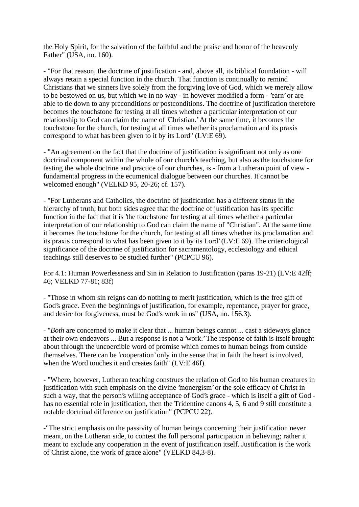the Holy Spirit, for the salvation of the faithful and the praise and honor of the heavenly Father" (USA, no. 160).

- "For that reason, the doctrine of justification - and, above all, its biblical foundation - will always retain a special function in the church. That function is continually to remind Christians that we sinners live solely from the forgiving love of God, which we merely allow to be bestowed on us, but which we in no way - in however modified a form - 'earn' or are able to tie down to any preconditions or postconditions. The doctrine of justification therefore becomes the touchstone for testing at all times whether a particular interpretation of our relationship to God can claim the name of 'Christian.' At the same time, it becomes the touchstone for the church, for testing at all times whether its proclamation and its praxis correspond to what has been given to it by its Lord" (LV:E 69).

- "An agreement on the fact that the doctrine of justification is significant not only as one doctrinal component within the whole of our church's teaching, but also as the touchstone for testing the whole doctrine and practice of our churches, is - from a Lutheran point of view fundamental progress in the ecumenical dialogue between our churches. It cannot be welcomed enough" (VELKD 95, 20-26; cf. 157).

- "For Lutherans and Catholics, the doctrine of justification has a different status in the hierarchy of truth; but both sides agree that the doctrine of justification has its specific function in the fact that it is 'the touchstone for testing at all times whether a particular interpretation of our relationship to God can claim the name of "Christian". At the same time it becomes the touchstone for the church, for testing at all times whether its proclamation and its praxis correspond to what has been given to it by its Lord' (LV:E 69). The criteriological significance of the doctrine of justification for sacramentology, ecclesiology and ethical teachings still deserves to be studied further" (PCPCU 96).

For 4.1: Human Powerlessness and Sin in Relation to Justification (paras 19-21) (LV:E 42ff; 46; VELKD 77-81; 83f)

- "Those in whom sin reigns can do nothing to merit justification, which is the free gift of God's grace. Even the beginnings of justification, for example, repentance, prayer for grace, and desire for forgiveness, must be God's work in us" (USA, no. 156.3).

- "*Both* are concerned to make it clear that ... human beings cannot ... cast a sideways glance at their own endeavors ... But a response is not a 'work.' The response of faith is itself brought about through the uncoercible word of promise which comes to human beings from outside themselves. There can be '*co*operation' only in the sense that in faith the heart is involved, when the Word touches it and creates faith" (LV:E 46f).

- "Where, however, Lutheran teaching construes the relation of God to his human creatures in justification with such emphasis on the divine 'monergism' or the sole efficacy of Christ in such a way, that the person's willing acceptance of God's grace - which is itself a gift of God has no essential role in justification, then the Tridentine canons 4, 5, 6 and 9 still constitute a notable doctrinal difference on justification" (PCPCU 22).

-"The strict emphasis on the passivity of human beings concerning their justification never meant, on the Lutheran side, to contest the full personal participation in believing; rather it meant to exclude any cooperation in the event of justification itself. Justification is the work of Christ alone, the work of grace alone" (VELKD 84,3-8).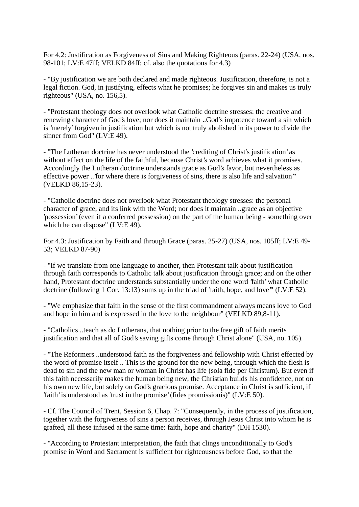For 4.2: Justification as Forgiveness of Sins and Making Righteous (paras. 22-24) (USA, nos. 98-101; LV:E 47ff; VELKD 84ff; cf. also the quotations for 4.3)

- "By justification we are both declared and made righteous. Justification, therefore, is not a legal fiction. God, in justifying, effects what he promises; he forgives sin and makes us truly righteous" (USA, no. 156,5).

- "Protestant theology does not overlook what Catholic doctrine stresses: the creative and renewing character of God's love; nor does it maintain ..God's impotence toward a sin which is 'merely' forgiven in justification but which is not truly abolished in its power to divide the sinner from God" (LV:E 49).

- "The Lutheran doctrine has never understood the 'crediting of Christ's justification' as without effect on the life of the faithful, because Christ's word achieves what it promises. Accordingly the Lutheran doctrine understands grace as God's favor, but nevertheless as effective power ..'for where there is forgiveness of sins, there is also life and salvation'" (VELKD 86,15-23).

- "Catholic doctrine does not overlook what Protestant theology stresses: the personal character of grace, and its link with the Word; nor does it maintain ..grace as an objective 'possession' (even if a conferred possession) on the part of the human being - something over which he can dispose" (LV:E 49).

For 4.3: Justification by Faith and through Grace (paras. 25-27) (USA, nos. 105ff; LV:E 49- 53; VELKD 87-90)

- "If we translate from one language to another, then Protestant talk about justification through faith corresponds to Catholic talk about justification through grace; and on the other hand, Protestant doctrine understands substantially under the one word 'faith' what Catholic doctrine (following 1 Cor. 13:13) sums up in the triad of 'faith, hope, and love'" (LV:E 52).

- "We emphasize that faith in the sense of the first commandment always means love to God and hope in him and is expressed in the love to the neighbour" (VELKD 89,8-11).

- "Catholics ..teach as do Lutherans, that nothing prior to the free gift of faith merits justification and that all of God's saving gifts come through Christ alone" (USA, no. 105).

- "The Reformers ..understood faith as the forgiveness and fellowship with Christ effected by the word of promise itself .. This is the ground for the new being, through which the flesh is dead to sin and the new man or woman in Christ has life (sola fide per Christum). But even if this faith necessarily makes the human being new, the Christian builds his confidence, not on his own new life, but solely on God's gracious promise. Acceptance in Christ is sufficient, if 'faith' is understood as 'trust in the promise' (fides promissionis)" (LV:E 50).

- Cf. The Council of Trent, Session 6, Chap. 7: "Consequently, in the process of justification, together with the forgiveness of sins a person receives, through Jesus Christ into whom he is grafted, all these infused at the same time: faith, hope and charity" (DH 1530).

- "According to Protestant interpretation, the faith that clings unconditionally to God's promise in Word and Sacrament is sufficient for righteousness before God, so that the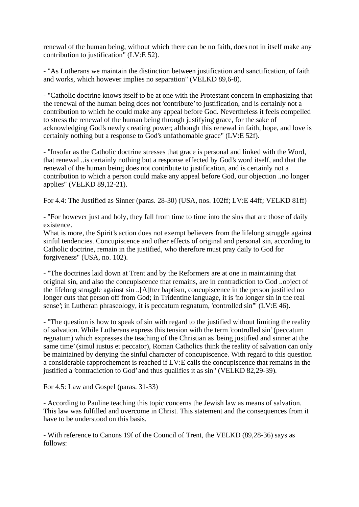renewal of the human being, without which there can be no faith, does not in itself make any contribution to justification" (LV:E 52).

- "As Lutherans we maintain the distinction between justification and sanctification, of faith and works, which however implies no separation" (VELKD 89,6-8).

- "Catholic doctrine knows itself to be at one with the Protestant concern in emphasizing that the renewal of the human being does not 'contribute' to justification, and is certainly not a contribution to which he could make any appeal before God. Nevertheless it feels compelled to stress the renewal of the human being through justifying grace, for the sake of acknowledging God's newly creating power; although this renewal in faith, hope, and love is certainly nothing but a response to God's unfathomable grace" (LV:E 52f).

- "Insofar as the Catholic doctrine stresses that grace is personal and linked with the Word, that renewal ..is certainly nothing but a response effected by God's word itself, and that the renewal of the human being does not contribute to justification, and is certainly not a contribution to which a person could make any appeal before God, our objection ..no longer applies" (VELKD 89,12-21).

For 4.4: The Justified as Sinner (paras. 28-30) (USA, nos. 102ff; LV:E 44ff; VELKD 81ff)

- "For however just and holy, they fall from time to time into the sins that are those of daily existence.

What is more, the Spirit's action does not exempt believers from the lifelong struggle against sinful tendencies. Concupiscence and other effects of original and personal sin, according to Catholic doctrine, remain in the justified, who therefore must pray daily to God for forgiveness" (USA, no. 102).

- "The doctrines laid down at Trent and by the Reformers are at one in maintaining that original sin, and also the concupiscence that remains, are in contradiction to God ..object of the lifelong struggle against sin ..[A]fter baptism, concupiscence in the person justified no longer cuts that person off from God; in Tridentine language, it is 'no longer sin in the real sense'; in Lutheran phraseology, it is peccatum regnatum, 'controlled sin'" (LV:E 46).

- "The question is how to speak of sin with regard to the justified without limiting the reality of salvation. While Lutherans express this tension with the term 'controlled sin' (peccatum regnatum) which expresses the teaching of the Christian as 'being justified and sinner at the same time' (simul iustus et peccator), Roman Catholics think the reality of salvation can only be maintained by denying the sinful character of concupiscence. With regard to this question a considerable rapprochement is reached if LV:E calls the concupiscence that remains in the justified a 'contradiction to God' and thus qualifies it as sin" (VELKD 82,29-39).

For 4.5: Law and Gospel (paras. 31-33)

- According to Pauline teaching this topic concerns the Jewish law as means of salvation. This law was fulfilled and overcome in Christ. This statement and the consequences from it have to be understood on this basis.

- With reference to Canons 19f of the Council of Trent, the VELKD (89,28-36) says as follows: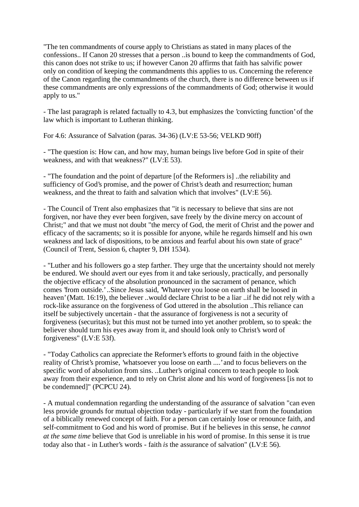"The ten commandments of course apply to Christians as stated in many places of the confessions.. If Canon 20 stresses that a person ..is bound to keep the commandments of God, this canon does not strike to us; if however Canon 20 affirms that faith has salvific power only on condition of keeping the commandments this applies to us. Concerning the reference of the Canon regarding the commandments of the church, there is no difference between us if these commandments are only expressions of the commandments of God; otherwise it would apply to us."

- The last paragraph is related factually to 4.3, but emphasizes the 'convicting function' of the law which is important to Lutheran thinking.

For 4.6: Assurance of Salvation (paras. 34-36) (LV:E 53-56; VELKD 90ff)

- "The question is: How can, and how may, human beings live before God in spite of their weakness, and with that weakness?" (LV:E 53).

- "The foundation and the point of departure [of the Reformers is] ..the reliability and sufficiency of God's promise, and the power of Christ's death and resurrection; human weakness, and the threat to faith and salvation which that involves" (LV:E 56).

- The Council of Trent also emphasizes that "it is necessary to believe that sins are not forgiven, nor have they ever been forgiven, save freely by the divine mercy on account of Christ;" and that we must not doubt "the mercy of God, the merit of Christ and the power and efficacy of the sacraments; so it is possible for anyone, while he regards himself and his own weakness and lack of dispositions, to be anxious and fearful about his own state of grace" (Council of Trent, Session 6, chapter 9, DH 1534).

- "Luther and his followers go a step farther. They urge that the uncertainty should not merely be endured. We should avert our eyes from it and take seriously, practically, and personally the objective efficacy of the absolution pronounced in the sacrament of penance, which comes 'from outside.' ..Since Jesus said, 'Whatever you loose on earth shall be loosed in heaven' (Matt. 16:19), the believer ..would declare Christ to be a liar ..if he did not rely with a rock-like assurance on the forgiveness of God uttered in the absolution ..This reliance can itself be subjectively uncertain - that the assurance of forgiveness is not a security of forgiveness (securitas); but this must not be turned into yet another problem, so to speak: the believer should turn his eyes away from it, and should look only to Christ's word of forgiveness" (LV:E 53f).

- "Today Catholics can appreciate the Reformer's efforts to ground faith in the objective reality of Christ's promise, 'whatsoever you loose on earth ....' and to focus believers on the specific word of absolution from sins. ..Luther's original concern to teach people to look away from their experience, and to rely on Christ alone and his word of forgiveness [is not to be condemned]" (PCPCU 24).

- A mutual condemnation regarding the understanding of the assurance of salvation "can even less provide grounds for mutual objection today - particularly if we start from the foundation of a biblically renewed concept of faith. For a person can certainly lose or renounce faith, and self-commitment to God and his word of promise. But if he believes in this sense, he *cannot at the same time* believe that God is unreliable in his word of promise. In this sense it is true today also that - in Luther's words - faith *is* the assurance of salvation" (LV:E 56).